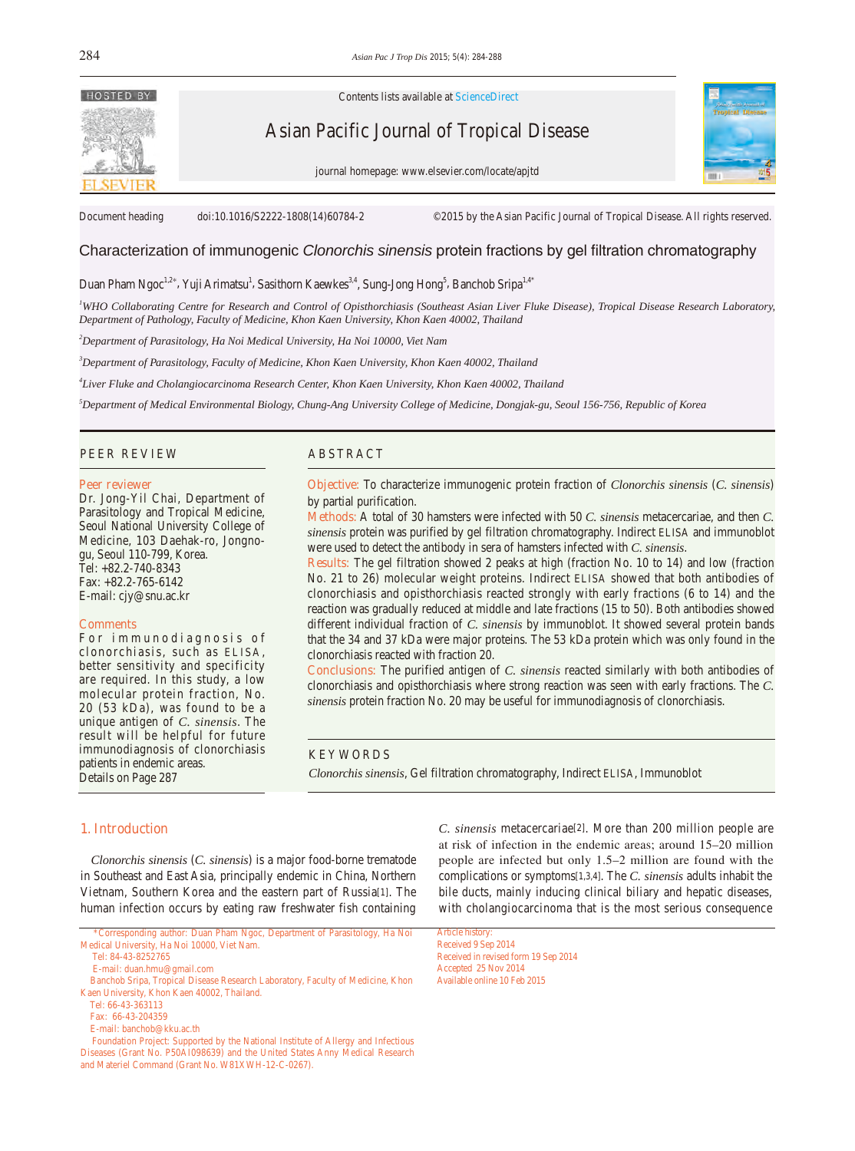

Contents lists available at ScienceDirect

# Asian Pacific Journal of Tropical Disease

journal homepage: www.elsevier.com/locate/apjtd



Document heading doi:10.1016/S2222-1808(14)60784-2 ©2015 by the Asian Pacific Journal of Tropical Disease. All rights reserved.

# Characterization of immunogenic *Clonorchis sinensis* protein fractions by gel filtration chromatography

Duan Pham Ngoc<sup>1,2\*</sup>, Yuji Arimatsu<sup>1</sup>, Sasithorn Kaewkes<sup>3,4</sup>, Sung-Jong Hong<sup>5</sup>, Banchob Sripa<sup>1,4\*</sup>

*1 WHO Collaborating Centre for Research and Control of Opisthorchiasis (Southeast Asian Liver Fluke Disease), Tropical Disease Research Laboratory, Department of Pathology, Faculty of Medicine, Khon Kaen University, Khon Kaen 40002, Thailand*

*2 Department of Parasitology, Ha Noi Medical University, Ha Noi 10000, Viet Nam*

*3 Department of Parasitology, Faculty of Medicine, Khon Kaen University, Khon Kaen 40002, Thailand* 

*4 Liver Fluke and Cholangiocarcinoma Research Center, Khon Kaen University, Khon Kaen 40002, Thailand* 

*5 Department of Medical Environmental Biology, Chung-Ang University College of Medicine, Dongjak-gu, Seoul 156-756, Republic of Korea*

## PEER REVIEW ABSTRACT

#### **Peer reviewer**

Dr. Jong-Yil Chai, Department of Parasitology and Tropical Medicine, Seoul National University College of Medicine, 103 Daehak-ro, Jongnogu, Seoul 110-799, Korea. Tel: +82.2-740-8343 Fax: +82.2-765-6142 E-mail: cjy@snu.ac.kr

#### **Comments**

For immunodiagnosis of clonorchiasis, such as ELISA, better sensitivity and specificity are required. In this study, a low molecular protein fraction, No. 20 (53 kDa), was found to be a unique antigen of *C. sinensis*. The result will be helpful for future immunodiagnosis of clonorchiasis patients in endemic areas. Details on Page 287

**Objective:** To characterize immunogenic protein fraction of *Clonorchis sinensis* (*C. sinensis*) by partial purification.

**Methods:** A total of 30 hamsters were infected with 50 *C. sinensis* metacercariae, and then *C. sinensis* protein was purified by gel filtration chromatography. Indirect ELISA and immunoblot were used to detect the antibody in sera of hamsters infected with *C. sinensis*.

**Results:** The gel filtration showed 2 peaks at high (fraction No. 10 to 14) and low (fraction No. 21 to 26) molecular weight proteins. Indirect ELISA showed that both antibodies of clonorchiasis and opisthorchiasis reacted strongly with early fractions (6 to 14) and the reaction was gradually reduced at middle and late fractions (15 to 50). Both antibodies showed different individual fraction of *C. sinensis* by immunoblot. It showed several protein bands that the 34 and 37 kDa were major proteins. The 53 kDa protein which was only found in the clonorchiasis reacted with fraction 20.

**Conclusions:** The purified antigen of *C. sinensis* reacted similarly with both antibodies of clonorchiasis and opisthorchiasis where strong reaction was seen with early fractions. The *C. sinensis* protein fraction No. 20 may be useful for immunodiagnosis of clonorchiasis.

## KEYWORDS

*Clonorchis sinensis*, Gel filtration chromatography, Indirect ELISA, Immunoblot

## **1. Introduction**

 *Clonorchis sinensis* (*C. sinensis*) is a major food-borne trematode in Southeast and East Asia, principally endemic in China, Northern Vietnam, Southern Korea and the eastern part of Russia[1]. The human infection occurs by eating raw freshwater fish containing *C. sinensis* metacercariae[2]. More than 200 million people are at risk of infection in the endemic areas; around 15–20 million people are infected but only 1.5–2 million are found with the complications or symptoms[1,3,4]. The *C. sinensis* adults inhabit the bile ducts, mainly inducing clinical biliary and hepatic diseases, with cholangiocarcinoma that is the most serious consequence

Article history: Received 9 Sep 2014 Received in revised form 19 Sep 2014 Accepted 25 Nov 2014 Available online 10 Feb 2015

 <sup>\*</sup>Corresponding author: Duan Pham Ngoc, Department of Parasitology, Ha Noi Medical University, Ha Noi 10000, Viet Nam.

Tel: 84-43-8252765

E-mail: duan.hmu@gmail.com

Banchob Sripa, Tropical Disease Research Laboratory, Faculty of Medicine, Khon Kaen University, Khon Kaen 40002, Thailand.

Tel: 66-43-363113

Fax: 66-43-204359

E-mail: banchob@kku.ac.th

Foundation Project: Supported by the National Institute of Allergy and Infectious Diseases (Grant No. P50AI098639) and the United States Anny Medical Research and Materiel Command (Grant No. W81XWH-12-C-0267).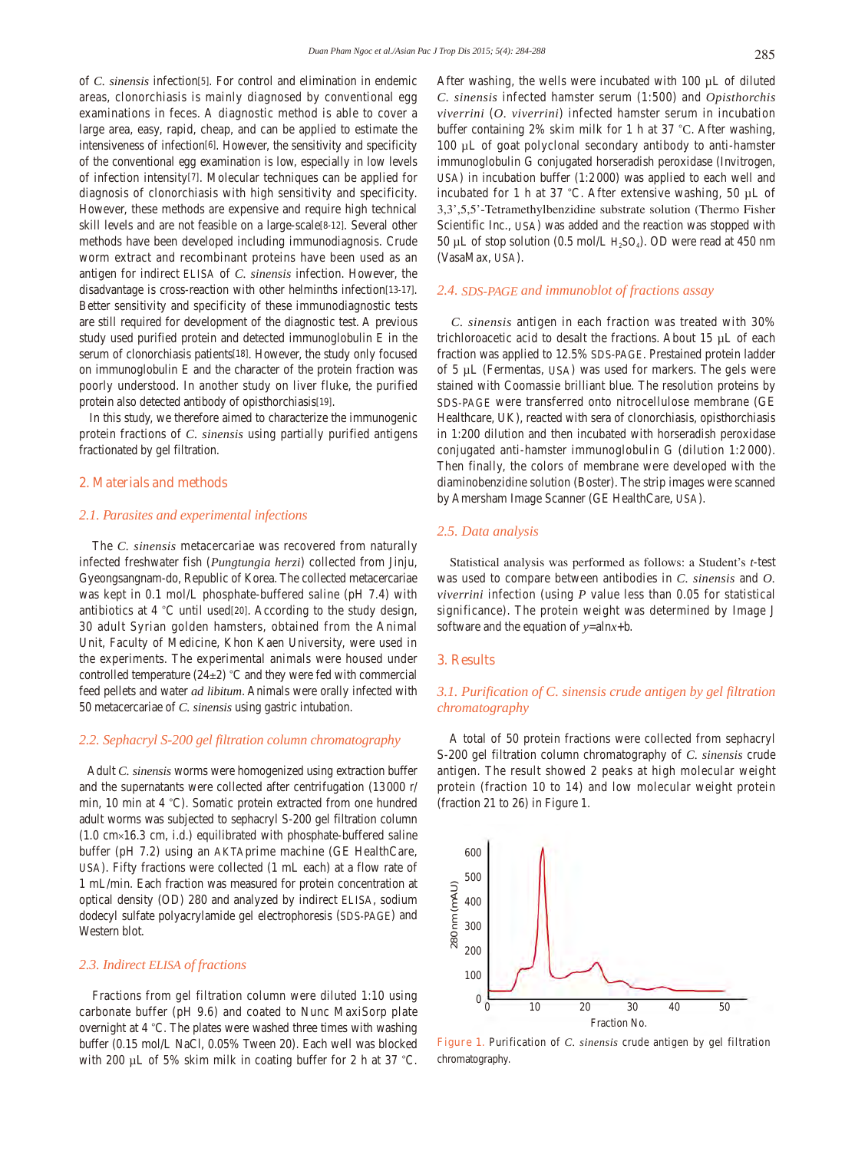of *C. sinensis* infection[5]. For control and elimination in endemic areas, clonorchiasis is mainly diagnosed by conventional egg examinations in feces. A diagnostic method is able to cover a large area, easy, rapid, cheap, and can be applied to estimate the intensiveness of infection[6]. However, the sensitivity and specificity of the conventional egg examination is low, especially in low levels of infection intensity[7]. Molecular techniques can be applied for diagnosis of clonorchiasis with high sensitivity and specificity. However, these methods are expensive and require high technical skill levels and are not feasible on a large-scale[8-12]. Several other methods have been developed including immunodiagnosis. Crude worm extract and recombinant proteins have been used as an antigen for indirect ELISA of *C. sinensis* infection. However, the disadvantage is cross-reaction with other helminths infection[13-17]. Better sensitivity and specificity of these immunodiagnostic tests are still required for development of the diagnostic test. A previous study used purified protein and detected immunoglobulin E in the serum of clonorchiasis patients[18]. However, the study only focused on immunoglobulin E and the character of the protein fraction was poorly understood. In another study on liver fluke, the purified protein also detected antibody of opisthorchiasis[19].

 In this study, we therefore aimed to characterize the immunogenic protein fractions of *C. sinensis* using partially purified antigens fractionated by gel filtration.

## **2. Materials and methods**

#### *2.1. Parasites and experimental infections*

 The *C. sinensis* metacercariae was recovered from naturally infected freshwater fish (*Pungtungia herzi*) collected from Jinju, Gyeongsangnam-do, Republic of Korea. The collected metacercariae was kept in 0.1 mol/L phosphate-buffered saline (pH 7.4) with antibiotics at 4 °C until used[20]. According to the study design, 30 adult Syrian golden hamsters, obtained from the Animal Unit, Faculty of Medicine, Khon Kaen University, were used in the experiments. The experimental animals were housed under controlled temperature  $(24\pm2)$  °C and they were fed with commercial feed pellets and water *ad libitum*. Animals were orally infected with 50 metacercariae of *C. sinensis* using gastric intubation.

#### *2.2. Sephacryl S-200 gel filtration column chromatography*

 Adult *C. sinensis* worms were homogenized using extraction buffer and the supernatants were collected after centrifugation (13000 r/ min, 10 min at 4 °C). Somatic protein extracted from one hundred adult worms was subjected to sephacryl S-200 gel filtration column  $(1.0 \text{ cm} \times 16.3 \text{ cm}, \text{i.d.})$  equilibrated with phosphate-buffered saline buffer (pH 7.2) using an AKTAprime machine (GE HealthCare, USA). Fifty fractions were collected (1 mL each) at a flow rate of 1 mL/min. Each fraction was measured for protein concentration at optical density (OD) 280 and analyzed by indirect ELISA, sodium dodecyl sulfate polyacrylamide gel electrophoresis (SDS-PAGE) and Western blot.

## *2.3. Indirect ELISA of fractions*

 Fractions from gel filtration column were diluted 1:10 using carbonate buffer (pH 9.6) and coated to Nunc MaxiSorp plate overnight at 4 °C. The plates were washed three times with washing buffer (0.15 mol/L NaCl, 0.05% Tween 20). Each well was blocked with 200 µL of 5% skim milk in coating buffer for 2 h at 37 °C.

After washing, the wells were incubated with 100 µL of diluted *C. sinensis* infected hamster serum (1:500) and *Opisthorchis viverrini* (*O. viverrini*) infected hamster serum in incubation buffer containing 2% skim milk for 1 h at 37 °C. After washing, 100 µL of goat polyclonal secondary antibody to anti-hamster immunoglobulin G conjugated horseradish peroxidase (Invitrogen, USA) in incubation buffer (1:2 000) was applied to each well and incubated for 1 h at 37 °C. After extensive washing, 50 µL of 3,3',5,5'-Tetramethylbenzidine substrate solution (Thermo Fisher Scientific Inc., USA) was added and the reaction was stopped with 50 µL of stop solution (0.5 mol/L  $H_2SO_4$ ). OD were read at 450 nm (VasaMax, USA).

#### *2.4. SDS-PAGE and immunoblot of fractions assay*

 *C. sinensis* antigen in each fraction was treated with 30% trichloroacetic acid to desalt the fractions. About 15 µL of each fraction was applied to 12.5% SDS-PAGE. Prestained protein ladder of 5 µL (Fermentas, USA) was used for markers. The gels were stained with Coomassie brilliant blue. The resolution proteins by SDS-PAGE were transferred onto nitrocellulose membrane (GE Healthcare, UK), reacted with sera of clonorchiasis, opisthorchiasis in 1:200 dilution and then incubated with horseradish peroxidase conjugated anti-hamster immunoglobulin G (dilution 1:2 000). Then finally, the colors of membrane were developed with the diaminobenzidine solution (Boster). The strip images were scanned by Amersham Image Scanner (GE HealthCare, USA).

## *2.5. Data analysis*

 Statistical analysis was performed as follows: a Student's *t*-test was used to compare between antibodies in *C. sinensis* and *O. viverrini* infection (using *P* value less than 0.05 for statistical significance). The protein weight was determined by Image J software and the equation of *y*=aln*x*+b.

#### **3. Results**

## *3.1. Purification of C. sinensis crude antigen by gel filtration chromatography*

 A total of 50 protein fractions were collected from sephacryl S-200 gel filtration column chromatography of *C. sinensis* crude antigen. The result showed 2 peaks at high molecular weight protein (fraction 10 to 14) and low molecular weight protein (fraction 21 to 26) in Figure 1.



**Figure 1.** Purification of *C. sinensis* crude antigen by gel filtration chromatography.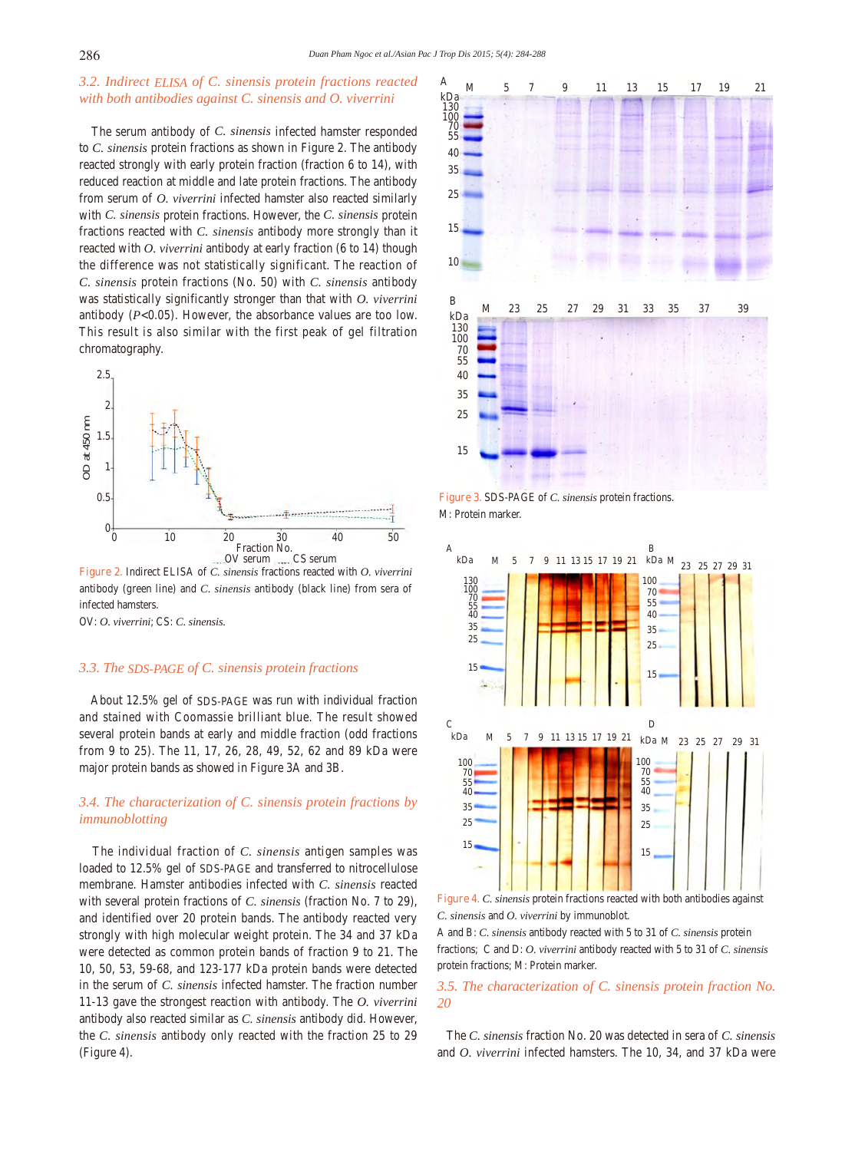# *3.2. Indirect ELISA of C. sinensis protein fractions reacted with both antibodies against C. sinensis and O. viverrini*

 The serum antibody of *C. sinensis* infected hamster responded to *C. sinensis* protein fractions as shown in Figure 2. The antibody reacted strongly with early protein fraction (fraction 6 to 14), with reduced reaction at middle and late protein fractions. The antibody from serum of *O. viverrini* infected hamster also reacted similarly with *C. sinensis* protein fractions. However, the *C. sinensis* protein fractions reacted with *C. sinensis* antibody more strongly than it reacted with *O. viverrini* antibody at early fraction (6 to 14) though the difference was not statistically significant. The reaction of *C. sinensis* protein fractions (No. 50) with *C. sinensis* antibody was statistically significantly stronger than that with *O. viverrini* antibody  $(P<0.05)$ . However, the absorbance values are too low. This result is also similar with the first peak of gel filtration chromatography.



**Figure 2.** Indirect ELISA of *C. sinensis* fractions reacted with *O. viverrini* antibody (green line) and *C. sinensis* antibody (black line) from sera of infected hamsters.

OV: *O. viverrini*; CS: *C. sinensis.*

## *3.3. The SDS-PAGE of C. sinensis protein fractions*

 About 12.5% gel of SDS-PAGE was run with individual fraction and stained with Coomassie brilliant blue. The result showed several protein bands at early and middle fraction (odd fractions from 9 to 25). The 11, 17, 26, 28, 49, 52, 62 and 89 kDa were major protein bands as showed in Figure 3A and 3B.

# *3.4. The characterization of C. sinensis protein fractions by immunoblotting*

 The individual fraction of *C. sinensis* antigen samples was loaded to 12.5% gel of SDS-PAGE and transferred to nitrocellulose membrane. Hamster antibodies infected with *C. sinensis* reacted with several protein fractions of *C. sinensis* (fraction No. 7 to 29), and identified over 20 protein bands. The antibody reacted very strongly with high molecular weight protein. The 34 and 37 kDa were detected as common protein bands of fraction 9 to 21. The 10, 50, 53, 59-68, and 123-177 kDa protein bands were detected in the serum of *C. sinensis* infected hamster. The fraction number 11-13 gave the strongest reaction with antibody. The *O. viverrini* antibody also reacted similar as *C. sinensis* antibody did. However, the *C. sinensis* antibody only reacted with the fraction 25 to 29 (Figure 4).









A and B: *C. sinensis* antibody reacted with 5 to 31 of *C. sinensis* protein fractions; C and D: *O. viverrini* antibody reacted with 5 to 31 of *C. sinensis* protein fractions; M: Protein marker.

# *3.5. The characterization of C. sinensis protein fraction No. 20*

 The *C. sinensis* fraction No. 20 was detected in sera of *C. sinensis* and *O. viverrini* infected hamsters. The 10, 34, and 37 kDa were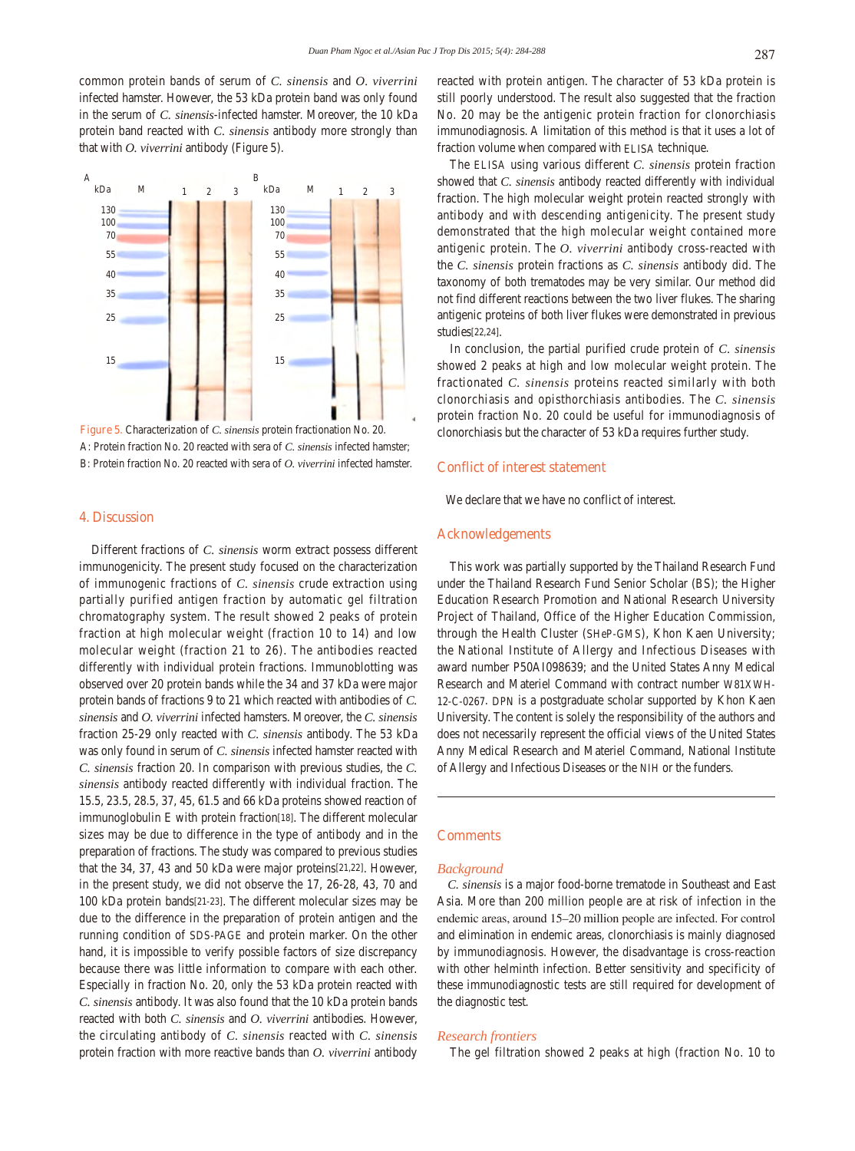common protein bands of serum of *C. sinensis* and *O. viverrini* infected hamster. However, the 53 kDa protein band was only found in the serum of *C. sinensis*-infected hamster. Moreover, the 10 kDa protein band reacted with *C. sinensis* antibody more strongly than that with *O. viverrini* antibody (Figure 5).



A: Protein fraction No. 20 reacted with sera of *C. sinensis* infected hamster; B: Protein fraction No. 20 reacted with sera of *O. viverrini* infected hamster.

## **4. Discussion**

 Different fractions of *C. sinensis* worm extract possess different immunogenicity. The present study focused on the characterization of immunogenic fractions of *C. sinensis* crude extraction using partially purified antigen fraction by automatic gel filtration chromatography system. The result showed 2 peaks of protein fraction at high molecular weight (fraction 10 to 14) and low molecular weight (fraction 21 to 26). The antibodies reacted differently with individual protein fractions. Immunoblotting was observed over 20 protein bands while the 34 and 37 kDa were major protein bands of fractions 9 to 21 which reacted with antibodies of *C. sinensis* and *O. viverrini* infected hamsters. Moreover, the *C. sinensis* fraction 25-29 only reacted with *C. sinensis* antibody. The 53 kDa was only found in serum of *C. sinensis* infected hamster reacted with *C. sinensis* fraction 20. In comparison with previous studies, the *C. sinensis* antibody reacted differently with individual fraction. The 15.5, 23.5, 28.5, 37, 45, 61.5 and 66 kDa proteins showed reaction of immunoglobulin E with protein fraction[18]. The different molecular sizes may be due to difference in the type of antibody and in the preparation of fractions. The study was compared to previous studies that the 34, 37, 43 and 50 kDa were major proteins[21,22]. However, in the present study, we did not observe the 17, 26-28, 43, 70 and 100 kDa protein bands[21-23]. The different molecular sizes may be due to the difference in the preparation of protein antigen and the running condition of SDS-PAGE and protein marker. On the other hand, it is impossible to verify possible factors of size discrepancy because there was little information to compare with each other. Especially in fraction No. 20, only the 53 kDa protein reacted with *C. sinensis* antibody. It was also found that the 10 kDa protein bands reacted with both *C. sinensis* and *O. viverrini* antibodies. However, the circulating antibody of *C. sinensis* reacted with *C. sinensis* protein fraction with more reactive bands than *O. viverrini* antibody reacted with protein antigen. The character of 53 kDa protein is still poorly understood. The result also suggested that the fraction No. 20 may be the antigenic protein fraction for clonorchiasis immunodiagnosis. A limitation of this method is that it uses a lot of fraction volume when compared with ELISA technique.

 The ELISA using various different *C. sinensis* protein fraction showed that *C. sinensis* antibody reacted differently with individual fraction. The high molecular weight protein reacted strongly with antibody and with descending antigenicity. The present study demonstrated that the high molecular weight contained more antigenic protein. The *O. viverrini* antibody cross-reacted with the *C. sinensis* protein fractions as *C. sinensis* antibody did. The taxonomy of both trematodes may be very similar. Our method did not find different reactions between the two liver flukes. The sharing antigenic proteins of both liver flukes were demonstrated in previous studies[22,24].

 In conclusion, the partial purified crude protein of *C. sinensis* showed 2 peaks at high and low molecular weight protein. The fractionated *C. sinensis* proteins reacted similarly with both clonorchiasis and opisthorchiasis antibodies. The *C. sinensis* protein fraction No. 20 could be useful for immunodiagnosis of clonorchiasis but the character of 53 kDa requires further study.

## **Conflict of interest statement**

We declare that we have no conflict of interest.

#### **Acknowledgements**

 This work was partially supported by the Thailand Research Fund under the Thailand Research Fund Senior Scholar (BS); the Higher Education Research Promotion and National Research University Project of Thailand, Office of the Higher Education Commission, through the Health Cluster (SHeP-GMS), Khon Kaen University; the National Institute of Allergy and Infectious Diseases with award number P50AI098639; and the United States Anny Medical Research and Materiel Command with contract number W81XWH-12-C-0267. DPN is a postgraduate scholar supported by Khon Kaen University. The content is solely the responsibility of the authors and does not necessarily represent the official views of the United States Anny Medical Research and Materiel Command, National Institute of Allergy and Infectious Diseases or the NIH or the funders.

# **Comments**

#### *Background*

 *C. sinensis* is a major food-borne trematode in Southeast and East Asia. More than 200 million people are at risk of infection in the endemic areas, around 15–20 million people are infected. For control and elimination in endemic areas, clonorchiasis is mainly diagnosed by immunodiagnosis. However, the disadvantage is cross-reaction with other helminth infection. Better sensitivity and specificity of these immunodiagnostic tests are still required for development of the diagnostic test.

#### *Research frontiers*

The gel filtration showed 2 peaks at high (fraction No. 10 to